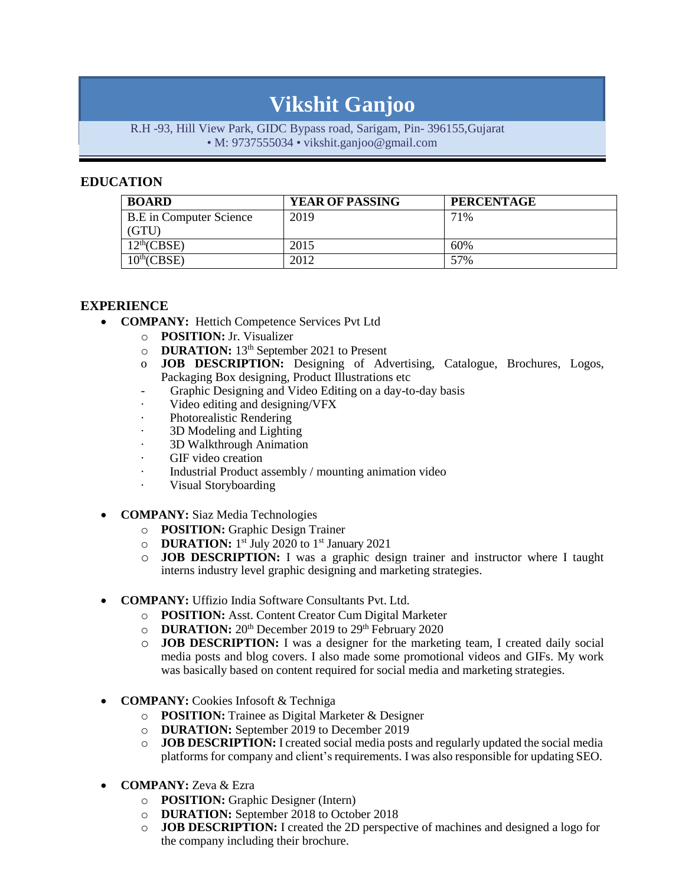# **Vikshit Ganjoo**

#### R.H -93, Hill View Park, GIDC Bypass road, Sarigam, Pin- 396155,Gujarat • M: 9737555034 • [vikshit.ganjoo@gmail.com](mailto:vikshit.ganjoo@gmail.com)

# **EDUCATION**

| <b>BOARD</b>                   | <b>YEAR OF PASSING</b> | <b>PERCENTAGE</b> |
|--------------------------------|------------------------|-------------------|
| <b>B.E</b> in Computer Science | 2019                   | 71%               |
| (GTU)                          |                        |                   |
| 12 <sup>th</sup> (CBSE)        | 2015                   | 60%               |
| $10^{th}$ (CBSE)               | 2012                   | 57%               |

#### **EXPERIENCE**

- **COMPANY:** Hettich Competence Services Pvt Ltd
	- o **POSITION:** Jr. Visualizer
	- o **DURATION:** 13th September 2021 to Present
	- o **JOB DESCRIPTION:** Designing of Advertising, Catalogue, Brochures, Logos, Packaging Box designing, Product Illustrations etc
	- -Graphic Designing and Video Editing on a day-to-day basis
	- · Video editing and designing/VFX
	- · Photorealistic Rendering
	- 3D Modeling and Lighting
	- 3D Walkthrough Animation
	- GIF video creation
	- · Industrial Product assembly / mounting animation video
	- Visual Storyboarding
- **COMPANY:** Siaz Media Technologies
	- o **POSITION:** Graphic Design Trainer
	- o **DURATION:** 1 st July 2020 to 1 st January 2021
	- o **JOB DESCRIPTION:** I was a graphic design trainer and instructor where I taught interns industry level graphic designing and marketing strategies.
- **COMPANY:** Uffizio India Software Consultants Pvt. Ltd.
	- o **POSITION:** Asst. Content Creator Cum Digital Marketer
	- o **DURATION:** 20th December 2019 to 29th February 2020
	- o **JOB DESCRIPTION:** I was a designer for the marketing team, I created daily social media posts and blog covers. I also made some promotional videos and GIFs. My work was basically based on content required for social media and marketing strategies.
- **COMPANY:** Cookies Infosoft & Techniga
	- o **POSITION:** Trainee as Digital Marketer & Designer
	- o **DURATION:** September 2019 to December 2019
	- o **JOB DESCRIPTION:** I created social media posts and regularly updated the social media platforms for company and client's requirements. I was also responsible for updating SEO.
- **COMPANY:** Zeva & Ezra
	- o **POSITION:** Graphic Designer (Intern)
	- o **DURATION:** September 2018 to October 2018
	- o **JOB DESCRIPTION:** I created the 2D perspective of machines and designed a logo for the company including their brochure.